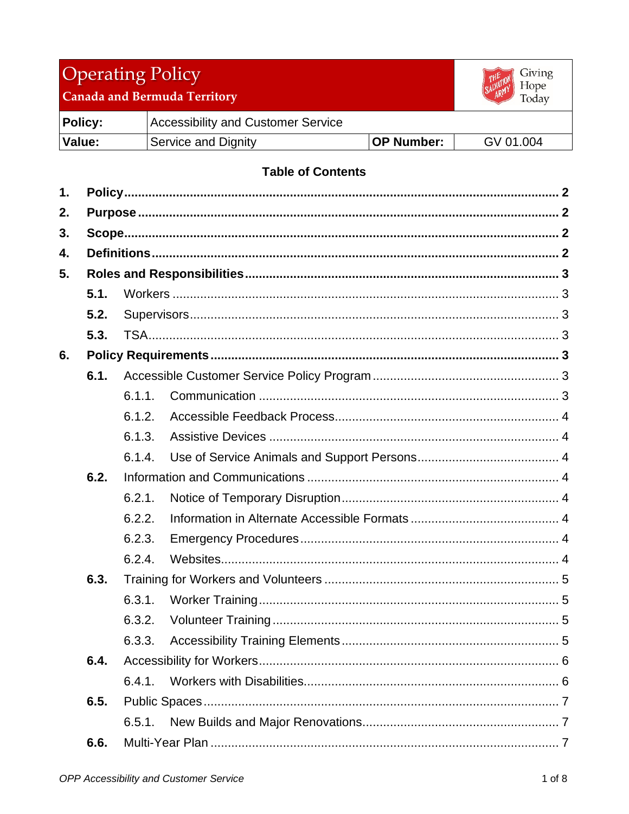# Operating Policy



Canada and Bermuda Territory

| <b>Policy:</b> | Accessibility and Customer Service |                   |           |
|----------------|------------------------------------|-------------------|-----------|
| Value:         | Service and Dignity                | <b>OP Number:</b> | GV 01.004 |

## **Table of Contents**

| 1.   |      |        |  |
|------|------|--------|--|
| 2.   |      |        |  |
| 3.   |      |        |  |
| 4.   |      |        |  |
| 5.   |      |        |  |
|      | 5.1. |        |  |
|      | 5.2. |        |  |
|      | 5.3. |        |  |
| 6.   |      |        |  |
|      | 6.1. |        |  |
|      |      | 6.1.1. |  |
|      |      | 6.1.2. |  |
|      |      | 6.1.3. |  |
|      |      | 6.1.4. |  |
|      | 6.2. |        |  |
|      |      | 6.2.1. |  |
|      |      | 6.2.2. |  |
|      |      | 6.2.3. |  |
|      |      | 6.2.4. |  |
|      | 6.3. |        |  |
|      |      | 6.3.1. |  |
|      |      | 6.3.2. |  |
|      |      | 6.3.3. |  |
|      | 6.4. |        |  |
|      |      | 6.4.1. |  |
|      | 6.5. |        |  |
|      |      | 6.5.1. |  |
| 6.6. |      |        |  |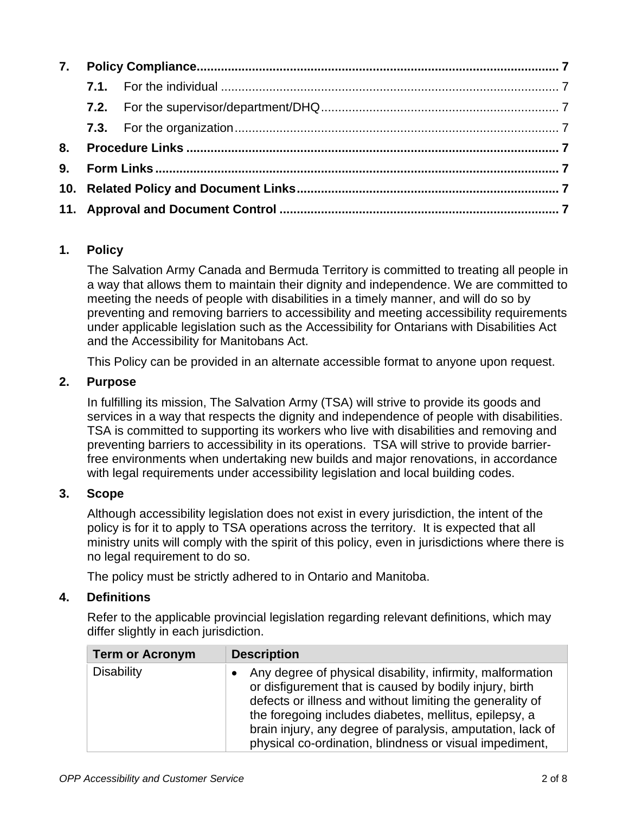| 8. |  |  |  |
|----|--|--|--|
|    |  |  |  |
|    |  |  |  |
|    |  |  |  |

## <span id="page-1-0"></span>**1. Policy**

The Salvation Army Canada and Bermuda Territory is committed to treating all people in a way that allows them to maintain their dignity and independence. We are committed to meeting the needs of people with disabilities in a timely manner, and will do so by preventing and removing barriers to accessibility and meeting accessibility requirements under applicable legislation such as the Accessibility for Ontarians with Disabilities Act and the Accessibility for Manitobans Act.

This Policy can be provided in an alternate accessible format to anyone upon request.

## <span id="page-1-1"></span>**2. Purpose**

In fulfilling its mission, The Salvation Army (TSA) will strive to provide its goods and services in a way that respects the dignity and independence of people with disabilities. TSA is committed to supporting its workers who live with disabilities and removing and preventing barriers to accessibility in its operations. TSA will strive to provide barrierfree environments when undertaking new builds and major renovations, in accordance with legal requirements under accessibility legislation and local building codes.

#### <span id="page-1-2"></span>**3. Scope**

Although accessibility legislation does not exist in every jurisdiction, the intent of the policy is for it to apply to TSA operations across the territory. It is expected that all ministry units will comply with the spirit of this policy, even in jurisdictions where there is no legal requirement to do so.

The policy must be strictly adhered to in Ontario and Manitoba.

#### <span id="page-1-3"></span>**4. Definitions**

Refer to the applicable provincial legislation regarding relevant definitions, which may differ slightly in each jurisdiction.

| <b>Term or Acronym</b> | <b>Description</b>                                                                                                                                                                                                                                                                                                                                                    |
|------------------------|-----------------------------------------------------------------------------------------------------------------------------------------------------------------------------------------------------------------------------------------------------------------------------------------------------------------------------------------------------------------------|
| <b>Disability</b>      | Any degree of physical disability, infirmity, malformation<br>or disfigurement that is caused by bodily injury, birth<br>defects or illness and without limiting the generality of<br>the foregoing includes diabetes, mellitus, epilepsy, a<br>brain injury, any degree of paralysis, amputation, lack of<br>physical co-ordination, blindness or visual impediment, |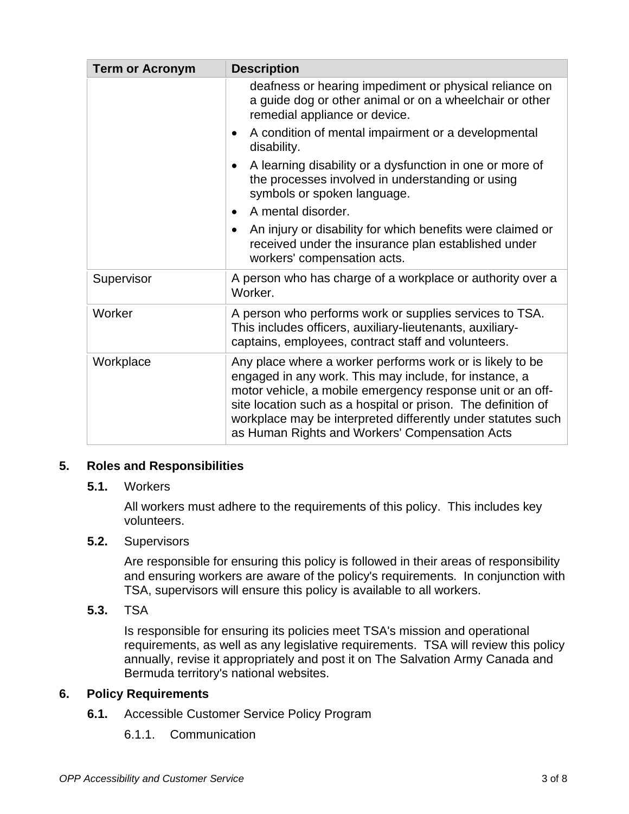| <b>Term or Acronym</b> | <b>Description</b>                                                                                                                                                                                                                                                                                                                                                   |  |  |
|------------------------|----------------------------------------------------------------------------------------------------------------------------------------------------------------------------------------------------------------------------------------------------------------------------------------------------------------------------------------------------------------------|--|--|
|                        | deafness or hearing impediment or physical reliance on<br>a guide dog or other animal or on a wheelchair or other<br>remedial appliance or device.                                                                                                                                                                                                                   |  |  |
|                        | A condition of mental impairment or a developmental<br>$\bullet$<br>disability.                                                                                                                                                                                                                                                                                      |  |  |
|                        | A learning disability or a dysfunction in one or more of<br>the processes involved in understanding or using<br>symbols or spoken language.                                                                                                                                                                                                                          |  |  |
|                        | A mental disorder.                                                                                                                                                                                                                                                                                                                                                   |  |  |
|                        | An injury or disability for which benefits were claimed or<br>received under the insurance plan established under<br>workers' compensation acts.                                                                                                                                                                                                                     |  |  |
| Supervisor             | A person who has charge of a workplace or authority over a<br>Worker.                                                                                                                                                                                                                                                                                                |  |  |
| Worker                 | A person who performs work or supplies services to TSA.<br>This includes officers, auxiliary-lieutenants, auxiliary-<br>captains, employees, contract staff and volunteers.                                                                                                                                                                                          |  |  |
| Workplace              | Any place where a worker performs work or is likely to be<br>engaged in any work. This may include, for instance, a<br>motor vehicle, a mobile emergency response unit or an off-<br>site location such as a hospital or prison. The definition of<br>workplace may be interpreted differently under statutes such<br>as Human Rights and Workers' Compensation Acts |  |  |

#### <span id="page-2-1"></span><span id="page-2-0"></span>**5. Roles and Responsibilities**

#### **5.1.** Workers

All workers must adhere to the requirements of this policy. This includes key volunteers.

#### <span id="page-2-2"></span>**5.2.** Supervisors

Are responsible for ensuring this policy is followed in their areas of responsibility and ensuring workers are aware of the policy's requirements. In conjunction with TSA, supervisors will ensure this policy is available to all workers.

<span id="page-2-3"></span>**5.3.** TSA

Is responsible for ensuring its policies meet TSA's mission and operational requirements, as well as any legislative requirements. TSA will review this policy annually, revise it appropriately and post it on The Salvation Army Canada and Bermuda territory's national websites.

#### <span id="page-2-5"></span><span id="page-2-4"></span>**6. Policy Requirements**

- <span id="page-2-6"></span>**6.1.** Accessible Customer Service Policy Program
	- 6.1.1. Communication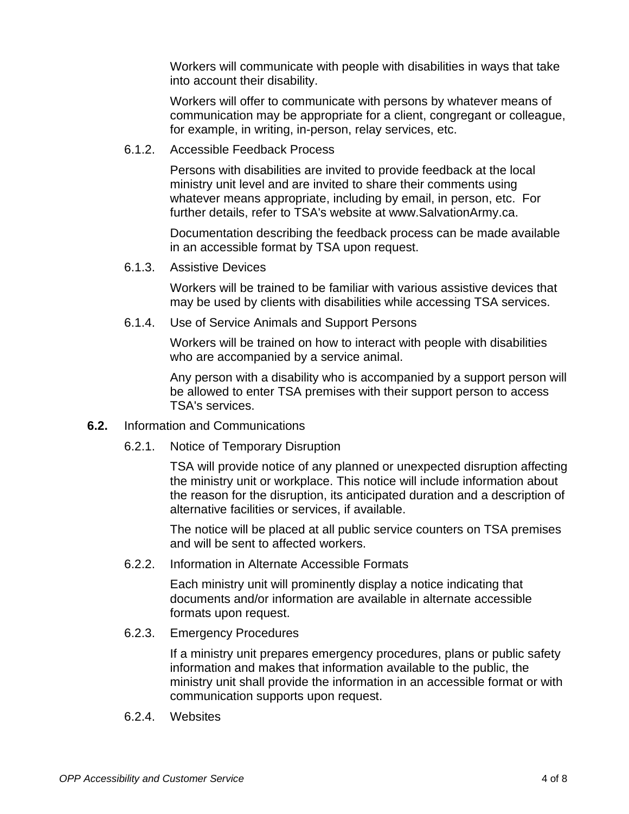Workers will communicate with people with disabilities in ways that take into account their disability.

Workers will offer to communicate with persons by whatever means of communication may be appropriate for a client, congregant or colleague, for example, in writing, in-person, relay services, etc.

<span id="page-3-0"></span>6.1.2. Accessible Feedback Process

Persons with disabilities are invited to provide feedback at the local ministry unit level and are invited to share their comments using whatever means appropriate, including by email, in person, etc. For further details, refer to TSA's website at www.SalvationArmy.ca.

Documentation describing the feedback process can be made available in an accessible format by TSA upon request.

<span id="page-3-1"></span>6.1.3. Assistive Devices

Workers will be trained to be familiar with various assistive devices that may be used by clients with disabilities while accessing TSA services.

<span id="page-3-2"></span>6.1.4. Use of Service Animals and Support Persons

Workers will be trained on how to interact with people with disabilities who are accompanied by a service animal.

Any person with a disability who is accompanied by a support person will be allowed to enter TSA premises with their support person to access TSA's services.

- <span id="page-3-4"></span><span id="page-3-3"></span>**6.2.** Information and Communications
	- 6.2.1. Notice of Temporary Disruption

TSA will provide notice of any planned or unexpected disruption affecting the ministry unit or workplace. This notice will include information about the reason for the disruption, its anticipated duration and a description of alternative facilities or services, if available.

The notice will be placed at all public service counters on TSA premises and will be sent to affected workers.

<span id="page-3-5"></span>6.2.2. Information in Alternate Accessible Formats

Each ministry unit will prominently display a notice indicating that documents and/or information are available in alternate accessible formats upon request.

<span id="page-3-6"></span>6.2.3. Emergency Procedures

If a ministry unit prepares emergency procedures, plans or public safety information and makes that information available to the public, the ministry unit shall provide the information in an accessible format or with communication supports upon request.

<span id="page-3-7"></span>6.2.4. Websites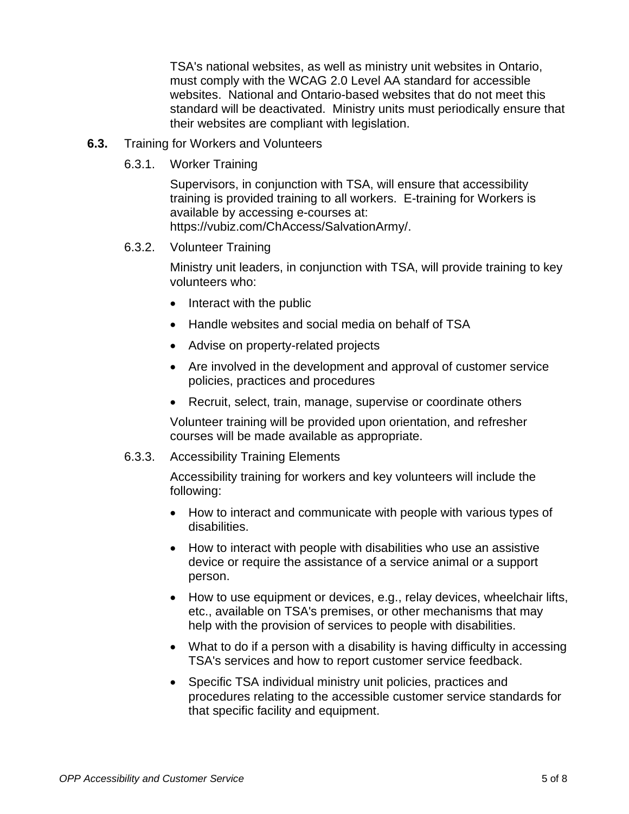TSA's national websites, as well as ministry unit websites in Ontario, must comply with the WCAG 2.0 Level AA standard for accessible websites. National and Ontario-based websites that do not meet this standard will be deactivated. Ministry units must periodically ensure that their websites are compliant with legislation.

- <span id="page-4-1"></span><span id="page-4-0"></span>**6.3.** Training for Workers and Volunteers
	- 6.3.1. Worker Training

Supervisors, in conjunction with TSA, will ensure that accessibility training is provided training to all workers. E-training for Workers is available by accessing e-courses at: https://vubiz.com/ChAccess/SalvationArmy/.

#### <span id="page-4-2"></span>6.3.2. Volunteer Training

Ministry unit leaders, in conjunction with TSA, will provide training to key volunteers who:

- Interact with the public
- Handle websites and social media on behalf of TSA
- Advise on property-related projects
- Are involved in the development and approval of customer service policies, practices and procedures
- Recruit, select, train, manage, supervise or coordinate others

Volunteer training will be provided upon orientation, and refresher courses will be made available as appropriate.

#### <span id="page-4-3"></span>6.3.3. Accessibility Training Elements

Accessibility training for workers and key volunteers will include the following:

- How to interact and communicate with people with various types of disabilities.
- How to interact with people with disabilities who use an assistive device or require the assistance of a service animal or a support person.
- How to use equipment or devices, e.g., relay devices, wheelchair lifts, etc., available on TSA's premises, or other mechanisms that may help with the provision of services to people with disabilities.
- What to do if a person with a disability is having difficulty in accessing TSA's services and how to report customer service feedback.
- Specific TSA individual ministry unit policies, practices and procedures relating to the accessible customer service standards for that specific facility and equipment.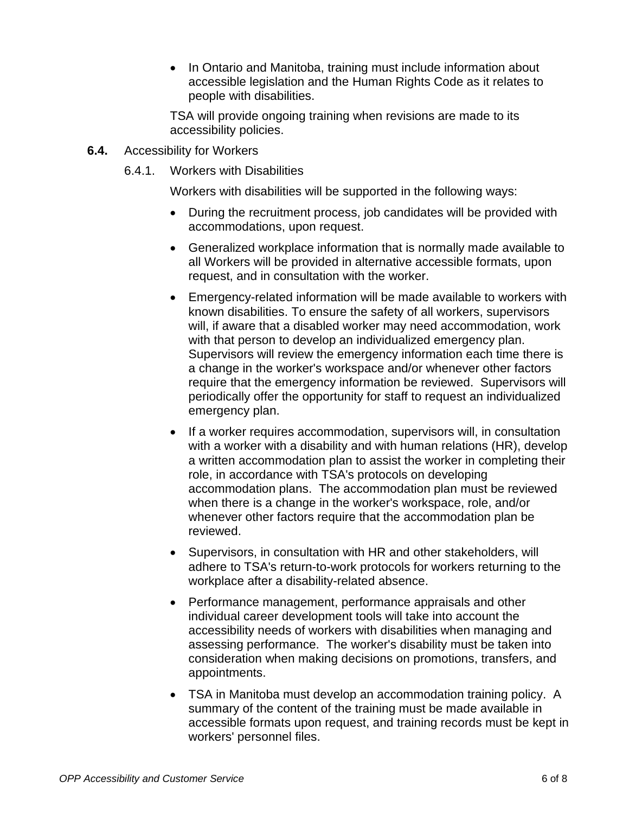• In Ontario and Manitoba, training must include information about accessible legislation and the Human Rights Code as it relates to people with disabilities.

TSA will provide ongoing training when revisions are made to its accessibility policies.

- <span id="page-5-1"></span><span id="page-5-0"></span>**6.4.** Accessibility for Workers
	- 6.4.1. Workers with Disabilities

Workers with disabilities will be supported in the following ways:

- During the recruitment process, job candidates will be provided with accommodations, upon request.
- Generalized workplace information that is normally made available to all Workers will be provided in alternative accessible formats, upon request, and in consultation with the worker.
- Emergency-related information will be made available to workers with known disabilities. To ensure the safety of all workers, supervisors will, if aware that a disabled worker may need accommodation, work with that person to develop an individualized emergency plan. Supervisors will review the emergency information each time there is a change in the worker's workspace and/or whenever other factors require that the emergency information be reviewed. Supervisors will periodically offer the opportunity for staff to request an individualized emergency plan.
- If a worker requires accommodation, supervisors will, in consultation with a worker with a disability and with human relations (HR), develop a written accommodation plan to assist the worker in completing their role, in accordance with TSA's protocols on developing accommodation plans. The accommodation plan must be reviewed when there is a change in the worker's workspace, role, and/or whenever other factors require that the accommodation plan be reviewed.
- Supervisors, in consultation with HR and other stakeholders, will adhere to TSA's return-to-work protocols for workers returning to the workplace after a disability-related absence.
- Performance management, performance appraisals and other individual career development tools will take into account the accessibility needs of workers with disabilities when managing and assessing performance. The worker's disability must be taken into consideration when making decisions on promotions, transfers, and appointments.
- TSA in Manitoba must develop an accommodation training policy. A summary of the content of the training must be made available in accessible formats upon request, and training records must be kept in workers' personnel files.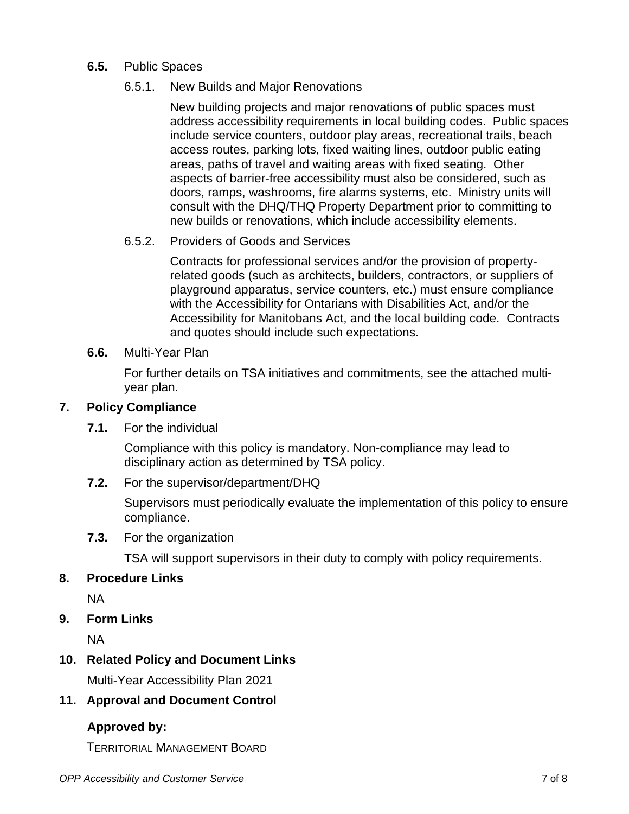<span id="page-6-1"></span><span id="page-6-0"></span>**6.5.** Public Spaces

#### 6.5.1. New Builds and Major Renovations

New building projects and major renovations of public spaces must address accessibility requirements in local building codes. Public spaces include service counters, outdoor play areas, recreational trails, beach access routes, parking lots, fixed waiting lines, outdoor public eating areas, paths of travel and waiting areas with fixed seating. Other aspects of barrier-free accessibility must also be considered, such as doors, ramps, washrooms, fire alarms systems, etc. Ministry units will consult with the DHQ/THQ Property Department prior to committing to new builds or renovations, which include accessibility elements.

#### 6.5.2. Providers of Goods and Services

Contracts for professional services and/or the provision of propertyrelated goods (such as architects, builders, contractors, or suppliers of playground apparatus, service counters, etc.) must ensure compliance with the Accessibility for Ontarians with Disabilities Act, and/or the Accessibility for Manitobans Act, and the local building code. Contracts and quotes should include such expectations.

#### <span id="page-6-2"></span>**6.6.** Multi-Year Plan

For further details on TSA initiatives and commitments, see the attached multiyear plan.

#### <span id="page-6-4"></span><span id="page-6-3"></span>**7. Policy Compliance**

**7.1.** For the individual

Compliance with this policy is mandatory. Non-compliance may lead to disciplinary action as determined by TSA policy.

<span id="page-6-5"></span>**7.2.** For the supervisor/department/DHQ

Supervisors must periodically evaluate the implementation of this policy to ensure compliance.

<span id="page-6-6"></span>**7.3.** For the organization

TSA will support supervisors in their duty to comply with policy requirements.

#### <span id="page-6-7"></span>**8. Procedure Links**

NA

<span id="page-6-8"></span>**9. Form Links**

NA

#### <span id="page-6-9"></span>**10. Related Policy and Document Links**

Multi-Year Accessibility Plan 2021

#### <span id="page-6-10"></span>**11. Approval and Document Control**

## **Approved by:**

TERRITORIAL MANAGEMENT BOARD